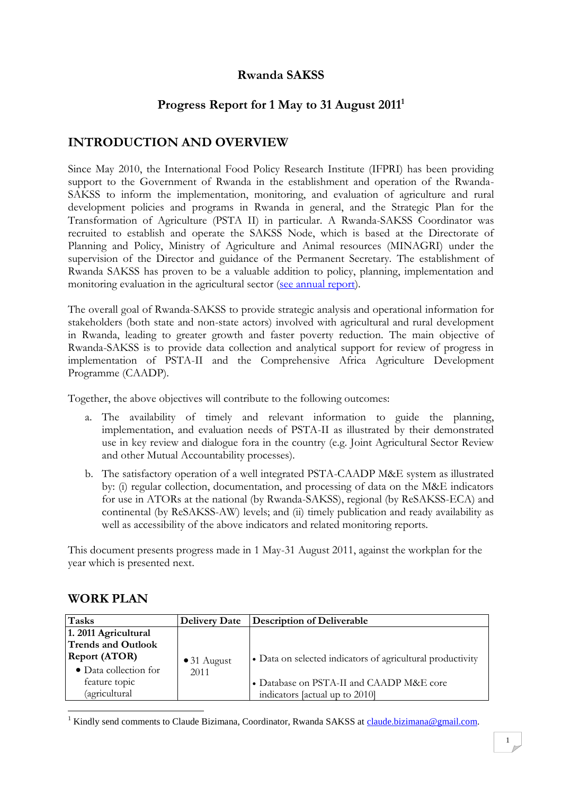## **Rwanda SAKSS**

## **Progress Report for 1 May to 31 August 2011<sup>1</sup>**

## **INTRODUCTION AND OVERVIEW**

Since May 2010, the International Food Policy Research Institute (IFPRI) has been providing support to the Government of Rwanda in the establishment and operation of the Rwanda-SAKSS to inform the implementation, monitoring, and evaluation of agriculture and rural development policies and programs in Rwanda in general, and the Strategic Plan for the Transformation of Agriculture (PSTA II) in particular. A Rwanda-SAKSS Coordinator was recruited to establish and operate the SAKSS Node, which is based at the Directorate of Planning and Policy, Ministry of Agriculture and Animal resources (MINAGRI) under the supervision of the Director and guidance of the Permanent Secretary. The establishment of Rwanda SAKSS has proven to be a valuable addition to policy, planning, implementation and monitoring evaluation in the agricultural sector [\(see annual report\)](http://www.resakss.org/index.php?pdf=50932).

The overall goal of Rwanda-SAKSS to provide strategic analysis and operational information for stakeholders (both state and non-state actors) involved with agricultural and rural development in Rwanda, leading to greater growth and faster poverty reduction. The main objective of Rwanda-SAKSS is to provide data collection and analytical support for review of progress in implementation of PSTA-II and the Comprehensive Africa Agriculture Development Programme (CAADP).

Together, the above objectives will contribute to the following outcomes:

- a. The availability of timely and relevant information to guide the planning, implementation, and evaluation needs of PSTA-II as illustrated by their demonstrated use in key review and dialogue fora in the country (e.g. Joint Agricultural Sector Review and other Mutual Accountability processes).
- b. The satisfactory operation of a well integrated PSTA-CAADP M&E system as illustrated by: (i) regular collection, documentation, and processing of data on the M&E indicators for use in ATORs at the national (by Rwanda-SAKSS), regional (by ReSAKSS-ECA) and continental (by ReSAKSS-AW) levels; and (ii) timely publication and ready availability as well as accessibility of the above indicators and related monitoring reports.

This document presents progress made in 1 May-31 August 2011, against the workplan for the year which is presented next.

| <b>WORK PLAN</b> |
|------------------|
|------------------|

| <b>Tasks</b>              | <b>Delivery Date</b> | Description of Deliverable                                 |
|---------------------------|----------------------|------------------------------------------------------------|
| 1. 2011 Agricultural      |                      |                                                            |
| <b>Trends and Outlook</b> |                      |                                                            |
| <b>Report (ATOR)</b>      | $\bullet$ 31 August  | • Data on selected indicators of agricultural productivity |
| • Data collection for     | 2011                 |                                                            |
| feature topic             |                      | • Database on PSTA-II and CAADP M&E core                   |
| (agricultural             |                      | indicators [actual up to 2010]                             |
|                           |                      |                                                            |

<sup>1</sup> Kindly send comments to Claude Bizimana, Coordinator, Rwanda SAKSS at [claude.bizimana@gmail.com.](mailto:claude.bizimana@gmail.com)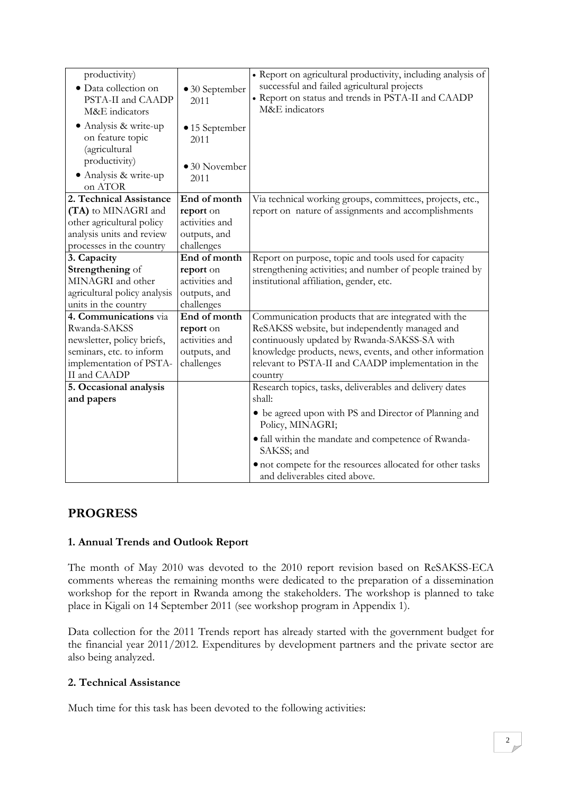| productivity)<br>· Data collection on<br>PSTA-II and CAADP<br>M&E indicators<br>• Analysis & write-up<br>on feature topic<br>(agricultural<br>productivity)<br>• Analysis & write-up<br>on ATOR | • 30 September<br>2011<br>$\bullet$ 15 September<br>2011<br>$\bullet$ 30 November<br>2011 | · Report on agricultural productivity, including analysis of<br>successful and failed agricultural projects<br>• Report on status and trends in PSTA-II and CAADP<br>M&E indicators |
|-------------------------------------------------------------------------------------------------------------------------------------------------------------------------------------------------|-------------------------------------------------------------------------------------------|-------------------------------------------------------------------------------------------------------------------------------------------------------------------------------------|
| 2. Technical Assistance                                                                                                                                                                         | End of month                                                                              | Via technical working groups, committees, projects, etc.,                                                                                                                           |
| (TA) to MINAGRI and                                                                                                                                                                             | report on                                                                                 | report on nature of assignments and accomplishments                                                                                                                                 |
| other agricultural policy<br>analysis units and review                                                                                                                                          | activities and<br>outputs, and                                                            |                                                                                                                                                                                     |
| processes in the country                                                                                                                                                                        | challenges                                                                                |                                                                                                                                                                                     |
| 3. Capacity                                                                                                                                                                                     | End of month                                                                              | Report on purpose, topic and tools used for capacity                                                                                                                                |
| Strengthening of                                                                                                                                                                                | report on                                                                                 | strengthening activities; and number of people trained by                                                                                                                           |
| MINAGRI and other                                                                                                                                                                               | activities and                                                                            | institutional affiliation, gender, etc.                                                                                                                                             |
| agricultural policy analysis                                                                                                                                                                    | outputs, and                                                                              |                                                                                                                                                                                     |
| units in the country                                                                                                                                                                            | challenges                                                                                |                                                                                                                                                                                     |
| 4. Communications via                                                                                                                                                                           | End of month                                                                              | Communication products that are integrated with the                                                                                                                                 |
| Rwanda-SAKSS                                                                                                                                                                                    | report on                                                                                 | ReSAKSS website, but independently managed and                                                                                                                                      |
| newsletter, policy briefs,                                                                                                                                                                      | activities and                                                                            | continuously updated by Rwanda-SAKSS-SA with                                                                                                                                        |
| seminars, etc. to inform                                                                                                                                                                        | outputs, and                                                                              | knowledge products, news, events, and other information                                                                                                                             |
| implementation of PSTA-                                                                                                                                                                         | challenges                                                                                | relevant to PSTA-II and CAADP implementation in the                                                                                                                                 |
| II and CAADP                                                                                                                                                                                    |                                                                                           | country                                                                                                                                                                             |
| 5. Occasional analysis                                                                                                                                                                          |                                                                                           | Research topics, tasks, deliverables and delivery dates                                                                                                                             |
| and papers                                                                                                                                                                                      |                                                                                           | shall:                                                                                                                                                                              |
|                                                                                                                                                                                                 |                                                                                           | • be agreed upon with PS and Director of Planning and<br>Policy, MINAGRI;                                                                                                           |
|                                                                                                                                                                                                 |                                                                                           | • fall within the mandate and competence of Rwanda-<br>SAKSS; and                                                                                                                   |
|                                                                                                                                                                                                 |                                                                                           | • not compete for the resources allocated for other tasks<br>and deliverables cited above.                                                                                          |

### **PROGRESS**

#### **1. Annual Trends and Outlook Report**

The month of May 2010 was devoted to the 2010 report revision based on ReSAKSS-ECA comments whereas the remaining months were dedicated to the preparation of a dissemination workshop for the report in Rwanda among the stakeholders. The workshop is planned to take place in Kigali on 14 September 2011 (see workshop program in Appendix 1).

Data collection for the 2011 Trends report has already started with the government budget for the financial year 2011/2012. Expenditures by development partners and the private sector are also being analyzed.

#### **2. Technical Assistance**

Much time for this task has been devoted to the following activities: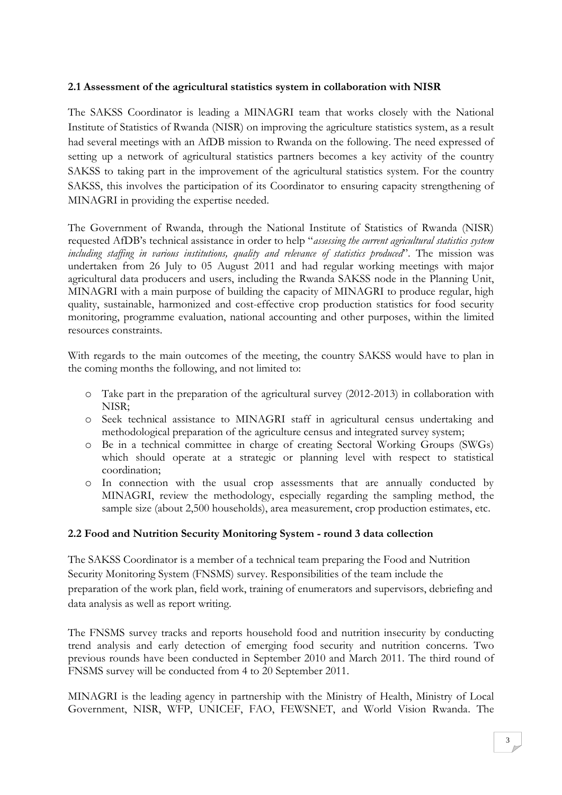#### **2.1 Assessment of the agricultural statistics system in collaboration with NISR**

The SAKSS Coordinator is leading a MINAGRI team that works closely with the National Institute of Statistics of Rwanda (NISR) on improving the agriculture statistics system, as a result had several meetings with an AfDB mission to Rwanda on the following. The need expressed of setting up a network of agricultural statistics partners becomes a key activity of the country SAKSS to taking part in the improvement of the agricultural statistics system. For the country SAKSS, this involves the participation of its Coordinator to ensuring capacity strengthening of MINAGRI in providing the expertise needed.

The Government of Rwanda, through the National Institute of Statistics of Rwanda (NISR) requested AfDB's technical assistance in order to help "*assessing the current agricultural statistics system including staffing in various institutions, quality and relevance of statistics produced*". The mission was undertaken from 26 July to 05 August 2011 and had regular working meetings with major agricultural data producers and users, including the Rwanda SAKSS node in the Planning Unit, MINAGRI with a main purpose of building the capacity of MINAGRI to produce regular, high quality, sustainable, harmonized and cost-effective crop production statistics for food security monitoring, programme evaluation, national accounting and other purposes, within the limited resources constraints.

With regards to the main outcomes of the meeting, the country SAKSS would have to plan in the coming months the following, and not limited to:

- o Take part in the preparation of the agricultural survey (2012-2013) in collaboration with NISR;
- o Seek technical assistance to MINAGRI staff in agricultural census undertaking and methodological preparation of the agriculture census and integrated survey system;
- o Be in a technical committee in charge of creating Sectoral Working Groups (SWGs) which should operate at a strategic or planning level with respect to statistical coordination;
- o In connection with the usual crop assessments that are annually conducted by MINAGRI, review the methodology, especially regarding the sampling method, the sample size (about 2,500 households), area measurement, crop production estimates, etc.

#### **2.2 Food and Nutrition Security Monitoring System - round 3 data collection**

The SAKSS Coordinator is a member of a technical team preparing the Food and Nutrition Security Monitoring System (FNSMS) survey. Responsibilities of the team include the preparation of the work plan, field work, training of enumerators and supervisors, debriefing and data analysis as well as report writing.

The FNSMS survey tracks and reports household food and nutrition insecurity by conducting trend analysis and early detection of emerging food security and nutrition concerns. Two previous rounds have been conducted in September 2010 and March 2011. The third round of FNSMS survey will be conducted from 4 to 20 September 2011.

MINAGRI is the leading agency in partnership with the Ministry of Health, Ministry of Local Government, NISR, WFP, UNICEF, FAO, FEWSNET, and World Vision Rwanda. The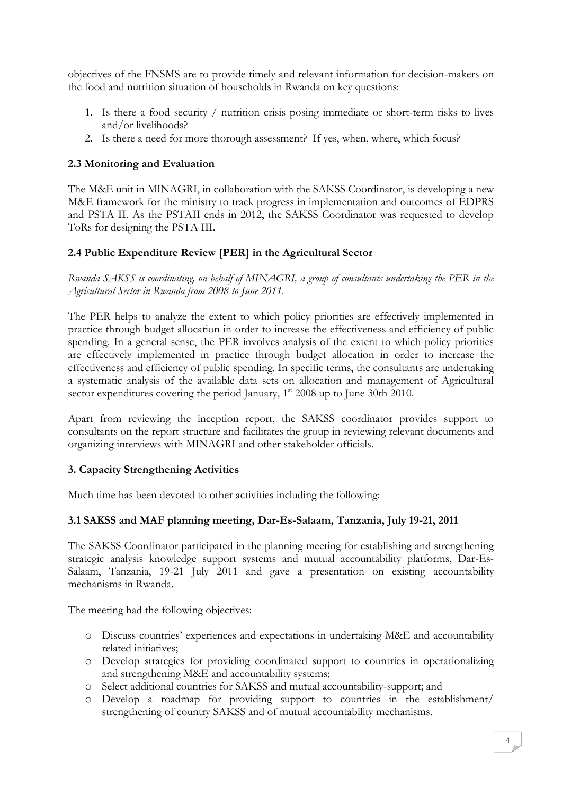objectives of the FNSMS are to provide timely and relevant information for decision-makers on the food and nutrition situation of households in Rwanda on key questions:

- 1. Is there a food security / nutrition crisis posing immediate or short-term risks to lives and/or livelihoods?
- 2. Is there a need for more thorough assessment? If yes, when, where, which focus?

#### **2.3 Monitoring and Evaluation**

The M&E unit in MINAGRI, in collaboration with the SAKSS Coordinator, is developing a new M&E framework for the ministry to track progress in implementation and outcomes of EDPRS and PSTA II. As the PSTAII ends in 2012, the SAKSS Coordinator was requested to develop ToRs for designing the PSTA III.

#### **2.4 Public Expenditure Review [PER] in the Agricultural Sector**

*Rwanda SAKSS is coordinating, on behalf of MINAGRI, a group of consultants undertaking the PER in the Agricultural Sector in Rwanda from 2008 to June 2011.* 

The PER helps to analyze the extent to which policy priorities are effectively implemented in practice through budget allocation in order to increase the effectiveness and efficiency of public spending. In a general sense, the PER involves analysis of the extent to which policy priorities are effectively implemented in practice through budget allocation in order to increase the effectiveness and efficiency of public spending. In specific terms, the consultants are undertaking a systematic analysis of the available data sets on allocation and management of Agricultural sector expenditures covering the period January, 1<sup>st</sup> 2008 up to June 30th 2010.

Apart from reviewing the inception report, the SAKSS coordinator provides support to consultants on the report structure and facilitates the group in reviewing relevant documents and organizing interviews with MINAGRI and other stakeholder officials.

#### **3. Capacity Strengthening Activities**

Much time has been devoted to other activities including the following:

#### **3.1 SAKSS and MAF planning meeting, Dar-Es-Salaam, Tanzania, July 19-21, 2011**

The SAKSS Coordinator participated in the planning meeting for establishing and strengthening strategic analysis knowledge support systems and mutual accountability platforms, Dar-Es-Salaam, Tanzania, 19-21 July 2011 and gave a presentation on existing accountability mechanisms in Rwanda.

The meeting had the following objectives:

- o Discuss countries' experiences and expectations in undertaking M&E and accountability related initiatives;
- o Develop strategies for providing coordinated support to countries in operationalizing and strengthening M&E and accountability systems;
- o Select additional countries for SAKSS and mutual accountability-support; and
- o Develop a roadmap for providing support to countries in the establishment/ strengthening of country SAKSS and of mutual accountability mechanisms.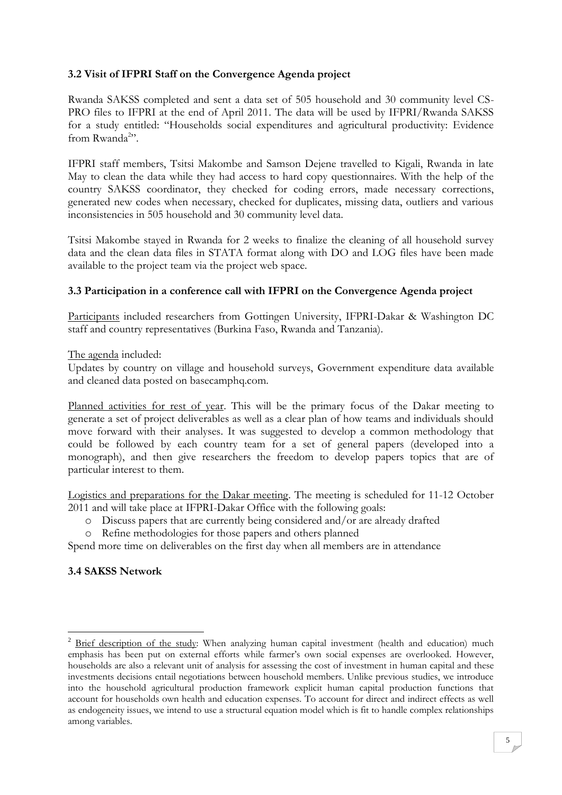#### **3.2 Visit of IFPRI Staff on the Convergence Agenda project**

Rwanda SAKSS completed and sent a data set of 505 household and 30 community level CS-PRO files to IFPRI at the end of April 2011. The data will be used by IFPRI/Rwanda SAKSS for a study entitled: "Households social expenditures and agricultural productivity: Evidence from Rwanda<sup>2</sup>".

IFPRI staff members, Tsitsi Makombe and Samson Dejene travelled to Kigali, Rwanda in late May to clean the data while they had access to hard copy questionnaires. With the help of the country SAKSS coordinator, they checked for coding errors, made necessary corrections, generated new codes when necessary, checked for duplicates, missing data, outliers and various inconsistencies in 505 household and 30 community level data.

Tsitsi Makombe stayed in Rwanda for 2 weeks to finalize the cleaning of all household survey data and the clean data files in STATA format along with DO and LOG files have been made available to the project team via the project web space.

#### **3.3 Participation in a conference call with IFPRI on the Convergence Agenda project**

Participants included researchers from Gottingen University, IFPRI-Dakar & Washington DC staff and country representatives (Burkina Faso, Rwanda and Tanzania).

The agenda included:

Updates by country on village and household surveys, Government expenditure data available and cleaned data posted on basecamphq.com.

Planned activities for rest of year. This will be the primary focus of the Dakar meeting to generate a set of project deliverables as well as a clear plan of how teams and individuals should move forward with their analyses. It was suggested to develop a common methodology that could be followed by each country team for a set of general papers (developed into a monograph), and then give researchers the freedom to develop papers topics that are of particular interest to them.

Logistics and preparations for the Dakar meeting. The meeting is scheduled for 11-12 October 2011 and will take place at IFPRI-Dakar Office with the following goals:

- o Discuss papers that are currently being considered and/or are already drafted
- o Refine methodologies for those papers and others planned

Spend more time on deliverables on the first day when all members are in attendance

#### **3.4 SAKSS Network**

1

<sup>&</sup>lt;sup>2</sup> Brief description of the study: When analyzing human capital investment (health and education) much emphasis has been put on external efforts while farmer's own social expenses are overlooked. However, households are also a relevant unit of analysis for assessing the cost of investment in human capital and these investments decisions entail negotiations between household members. Unlike previous studies, we introduce into the household agricultural production framework explicit human capital production functions that account for households own health and education expenses. To account for direct and indirect effects as well as endogeneity issues, we intend to use a structural equation model which is fit to handle complex relationships among variables.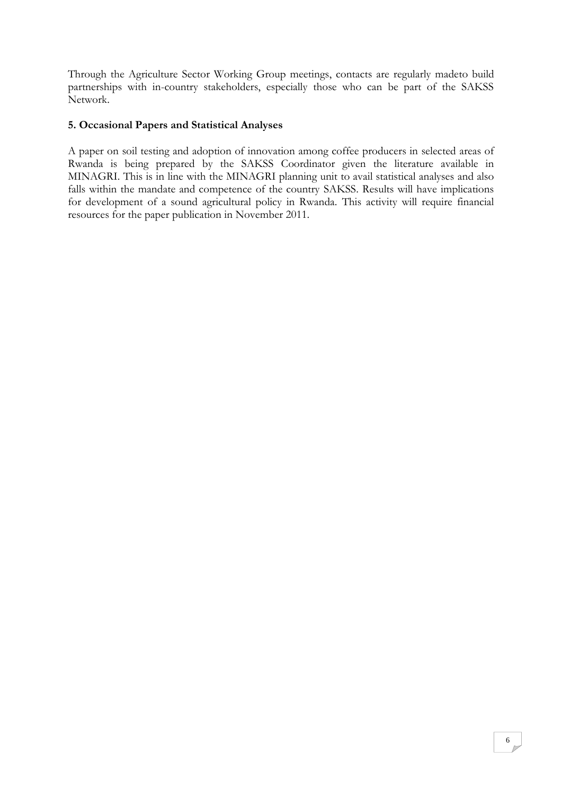Through the Agriculture Sector Working Group meetings, contacts are regularly madeto build partnerships with in-country stakeholders, especially those who can be part of the SAKSS Network.

#### **5. Occasional Papers and Statistical Analyses**

A paper on soil testing and adoption of innovation among coffee producers in selected areas of Rwanda is being prepared by the SAKSS Coordinator given the literature available in MINAGRI. This is in line with the MINAGRI planning unit to avail statistical analyses and also falls within the mandate and competence of the country SAKSS. Results will have implications for development of a sound agricultural policy in Rwanda. This activity will require financial resources for the paper publication in November 2011.